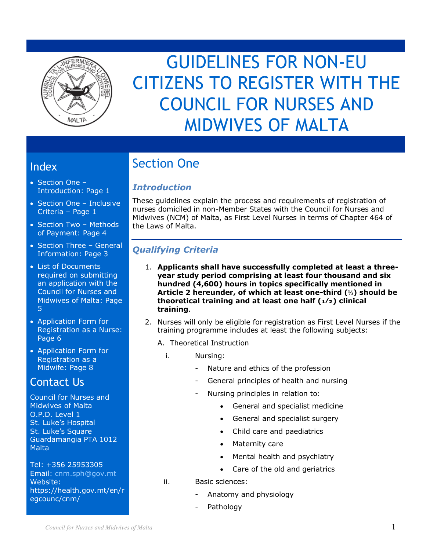

# GUIDELINES FOR NON-EU CITIZENS TO REGISTER WITH THE COUNCIL FOR NURSES AND MIDWIVES OF MALTA

# Index

- Section One Introduction: Page 1
- Section One Inclusive Criteria – Page 1
- Section Two Methods of Payment: Page 4
- Section Three General Information: Page 3
- List of Documents required on submitting an application with the Council for Nurses and Midwives of Malta: Page 5
- Application Form for Registration as a Nurse: Page 6
- Application Form for Registration as a Midwife: Page 8

# Contact Us

Council for Nurses and Midwives of Malta O.P.D. Level 1 St. Luke's Hospital St. Luke's Square Guardamangia PTA 1012 Malta

Tel: +356 25953305 Email: [cnm.sph@gov.mt](mailto:cnm.sph@gov.mt) Website: https://health.gov.mt/en/r egcounc/cnm/

# Section One

# *Introduction*

These guidelines explain the process and requirements of registration of nurses domiciled in non-Member States with the Council for Nurses and Midwives (NCM) of Malta, as First Level Nurses in terms of Chapter 464 of the Laws of Malta.

# *Qualifying Criteria*

- 1. **Applicants shall have successfully completed at least a threeyear study period comprising at least four thousand and six hundred (4,600) hours in topics specifically mentioned in Article 2 hereunder, of which at least one-third (⅓) should be theoretical training and at least one half (₁⁄₂) clinical training**.
- 2. Nurses will only be eligible for registration as First Level Nurses if the training programme includes at least the following subjects:
	- A. Theoretical Instruction
	- i. Nursing:
		- Nature and ethics of the profession
		- General principles of health and nursing
		- Nursing principles in relation to:
			- General and specialist medicine
			- General and specialist surgery
			- Child care and paediatrics
			- Maternity care
			- Mental health and psychiatry
			- Care of the old and geriatrics
	- ii. Basic sciences:
		- Anatomy and physiology
		- Pathology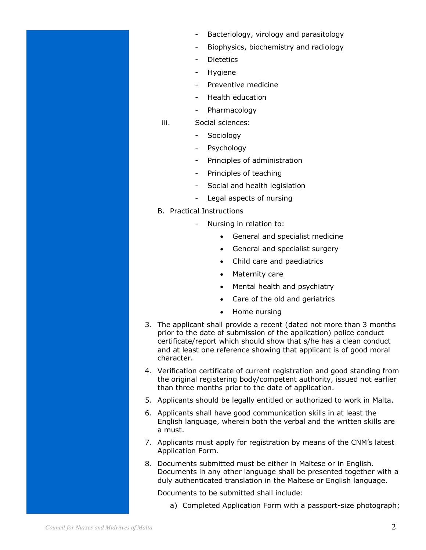- Bacteriology, virology and parasitology
- Biophysics, biochemistry and radiology
- **Dietetics**
- Hygiene
- Preventive medicine
- Health education
- **Pharmacology**
- iii. Social sciences:
	- **Sociology**
	- Psychology
	- Principles of administration
	- Principles of teaching
	- Social and health legislation
	- Legal aspects of nursing
- B. Practical Instructions
	- Nursing in relation to:
		- General and specialist medicine
		- General and specialist surgery
		- Child care and paediatrics
		- Maternity care
		- Mental health and psychiatry
		- Care of the old and geriatrics
		- Home nursing
- 3. The applicant shall provide a recent (dated not more than 3 months prior to the date of submission of the application) police conduct certificate/report which should show that s/he has a clean conduct and at least one reference showing that applicant is of good moral character.
- 4. Verification certificate of current registration and good standing from the original registering body/competent authority, issued not earlier than three months prior to the date of application.
- 5. Applicants should be legally entitled or authorized to work in Malta.
- 6. Applicants shall have good communication skills in at least the English language, wherein both the verbal and the written skills are a must.
- 7. Applicants must apply for registration by means of the CNM's latest Application Form.
- 8. Documents submitted must be either in Maltese or in English. Documents in any other language shall be presented together with a duly authenticated translation in the Maltese or English language.

Documents to be submitted shall include:

a) Completed Application Form with a passport-size photograph;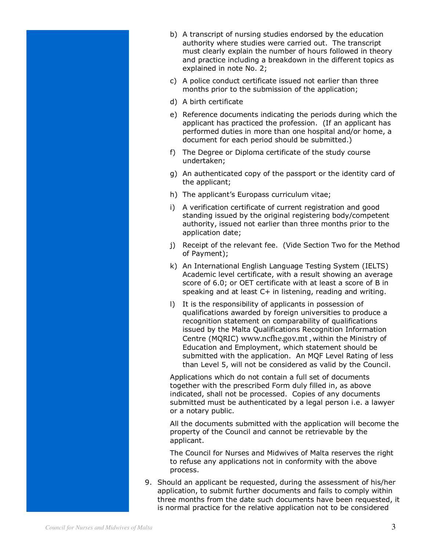- b) A transcript of nursing studies endorsed by the education authority where studies were carried out. The transcript must clearly explain the number of hours followed in theory and practice including a breakdown in the different topics as explained in note No. 2;
- c) A police conduct certificate issued not earlier than three months prior to the submission of the application;
- d) A birth certificate
- e) Reference documents indicating the periods during which the applicant has practiced the profession. (If an applicant has performed duties in more than one hospital and/or home, a document for each period should be submitted.)
- f) The Degree or Diploma certificate of the study course undertaken;
- g) An authenticated copy of the passport or the identity card of the applicant;
- h) The applicant's Europass curriculum vitae;
- i) A verification certificate of current registration and good standing issued by the original registering body/competent authority, issued not earlier than three months prior to the application date;
- j) Receipt of the relevant fee. (Vide Section Two for the Method of Payment);
- k) An International English Language Testing System (IELTS) Academic level certificate, with a result showing an average score of 6.0; or OET certificate with at least a score of B in speaking and at least C+ in listening, reading and writing.
- l) It is the responsibility of applicants in possession of qualifications awarded by foreign universities to produce a recognition statement on comparability of qualifications issued by the Malta Qualifications Recognition Information Centre (MQRIC) [www.ncfhe.gov.mt](http://www.ncfhe.gov.mt/) , within the Ministry of Education and Employment, which statement should be submitted with the application. An MQF Level Rating of less than Level 5, will not be considered as valid by the Council.

Applications which do not contain a full set of documents together with the prescribed Form duly filled in, as above indicated, shall not be processed. Copies of any documents submitted must be authenticated by a legal person i.e. a lawyer or a notary public.

All the documents submitted with the application will become the property of the Council and cannot be retrievable by the applicant.

The Council for Nurses and Midwives of Malta reserves the right to refuse any applications not in conformity with the above process.

9. Should an applicant be requested, during the assessment of his/her application, to submit further documents and fails to comply within three months from the date such documents have been requested, it is normal practice for the relative application not to be considered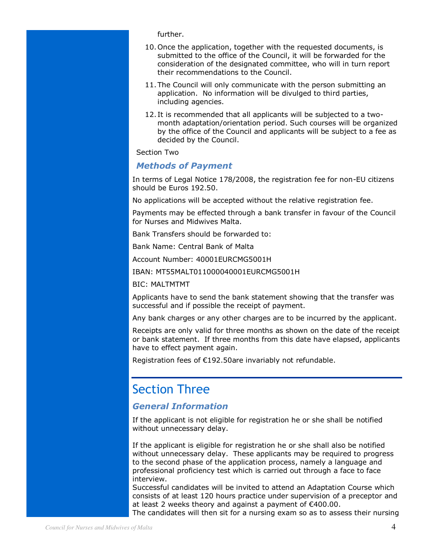further.

- 10.Once the application, together with the requested documents, is submitted to the office of the Council, it will be forwarded for the consideration of the designated committee, who will in turn report their recommendations to the Council.
- 11.The Council will only communicate with the person submitting an application. No information will be divulged to third parties, including agencies.
- 12. It is recommended that all applicants will be subjected to a twomonth adaptation/orientation period. Such courses will be organized by the office of the Council and applicants will be subject to a fee as decided by the Council.

Section Two

#### *Methods of Payment*

In terms of Legal Notice 178/2008, the registration fee for non-EU citizens should be Euros 192.50.

No applications will be accepted without the relative registration fee.

Payments may be effected through a bank transfer in favour of the Council for Nurses and Midwives Malta.

Bank Transfers should be forwarded to:

Bank Name: Central Bank of Malta

Account Number: 40001EURCMG5001H

IBAN: MT55MALT011000040001EURCMG5001H

BIC: MALTMTMT

Applicants have to send the bank statement showing that the transfer was successful and if possible the receipt of payment.

Any bank charges or any other charges are to be incurred by the applicant.

Receipts are only valid for three months as shown on the date of the receipt or bank statement. If three months from this date have elapsed, applicants have to effect payment again.

Registration fees of €192.50are invariably not refundable.

# Section Three

#### *General Information*

If the applicant is not eligible for registration he or she shall be notified without unnecessary delay.

If the applicant is eligible for registration he or she shall also be notified without unnecessary delay. These applicants may be required to progress to the second phase of the application process, namely a language and professional proficiency test which is carried out through a face to face interview.

Successful candidates will be invited to attend an Adaptation Course which consists of at least 120 hours practice under supervision of a preceptor and at least 2 weeks theory and against a payment of €400.00.

The candidates will then sit for a nursing exam so as to assess their nursing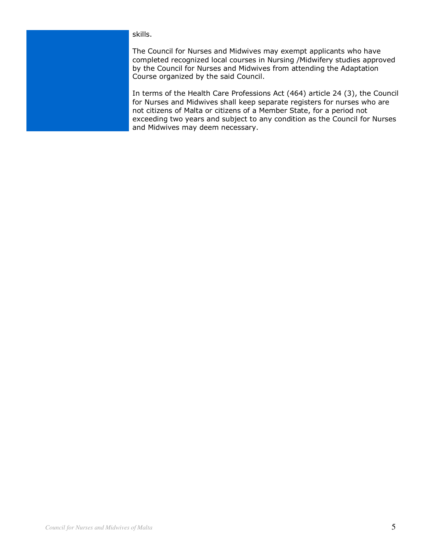#### skills.

The Council for Nurses and Midwives may exempt applicants who have completed recognized local courses in Nursing /Midwifery studies approved by the Council for Nurses and Midwives from attending the Adaptation Course organized by the said Council.

In terms of the Health Care Professions Act (464) article 24 (3), the Council for Nurses and Midwives shall keep separate registers for nurses who are not citizens of Malta or citizens of a Member State, for a period not exceeding two years and subject to any condition as the Council for Nurses and Midwives may deem necessary.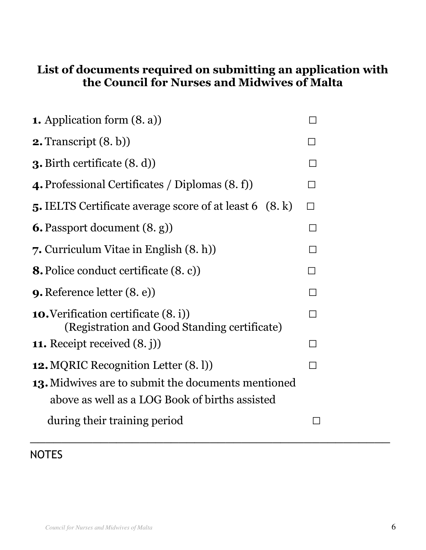# **List of documents required on submitting an application with the Council for Nurses and Midwives of Malta**

| <b>1.</b> Application form $(8, a)$                                                         |                          |  |
|---------------------------------------------------------------------------------------------|--------------------------|--|
| <b>2.</b> Transcript $(8, b)$                                                               |                          |  |
| <b>3.</b> Birth certificate $(8, d)$                                                        | $\mathsf{L}$             |  |
| 4. Professional Certificates / Diplomas (8. f)                                              | $\overline{\phantom{a}}$ |  |
| <b>5.</b> IELTS Certificate average score of at least 6 (8. k)                              | П                        |  |
| <b>6.</b> Passport document $(8, g)$                                                        | $\Box$                   |  |
| 7. Curriculum Vitae in English (8. h)                                                       |                          |  |
| <b>8.</b> Police conduct certificate (8. c))                                                |                          |  |
| <b>9.</b> Reference letter $(8, e)$                                                         | $\mathsf{L}$             |  |
| <b>10.</b> Verification certificate (8. i))<br>(Registration and Good Standing certificate) | $\mathbf{L}$             |  |
| <b>11.</b> Receipt received $(8, j)$                                                        | П                        |  |
| <b>12. MQRIC Recognition Letter (8.1)</b>                                                   |                          |  |
| 13. Midwives are to submit the documents mentioned                                          |                          |  |
| above as well as a LOG Book of births assisted                                              |                          |  |
| during their training period                                                                | П                        |  |

**NOTES**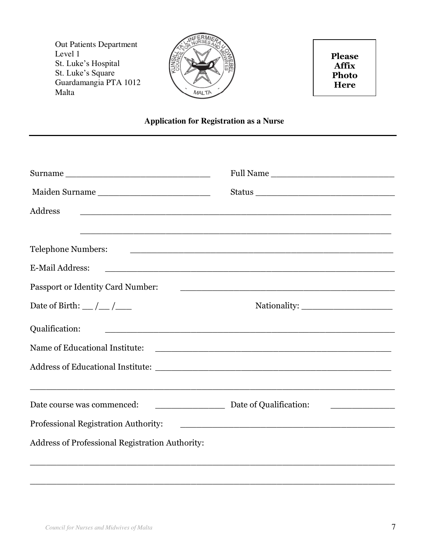Out Patients Department Level 1 St. Luke's Hospital St. Luke's Square Guardamangia PTA 1012 Malta



**Please Affix Photo Here**

#### **Application for Registration as a Nurse**

|                                                                                                                                 | Full Name                                                                                                             |  |  |
|---------------------------------------------------------------------------------------------------------------------------------|-----------------------------------------------------------------------------------------------------------------------|--|--|
| Maiden Surname                                                                                                                  | Status                                                                                                                |  |  |
| Address<br><u> 1989 - Johann John Stone, meny ambany amin'ny fivondronan-kaominin'i Paris (no ben'ny faritr'i Australia Bar</u> |                                                                                                                       |  |  |
|                                                                                                                                 |                                                                                                                       |  |  |
| <b>Telephone Numbers:</b>                                                                                                       | <u> 1980 - Jan Barbara, martxa al II-lea (h. 1980).</u>                                                               |  |  |
| <b>E-Mail Address:</b>                                                                                                          | <u> 1988 - Johann John Stein, market fan it ferstjer fan de fan it ferstjer fan it ferstjer fan it ferstjer fan i</u> |  |  |
| Passport or Identity Card Number:                                                                                               | <u> 1980 - Jan James James, martin de la propincia de la propincia de la propincia de la propincia de la propinci</u> |  |  |
| Date of Birth: $\_\/\_\$                                                                                                        |                                                                                                                       |  |  |
| Qualification:                                                                                                                  |                                                                                                                       |  |  |
|                                                                                                                                 |                                                                                                                       |  |  |
|                                                                                                                                 |                                                                                                                       |  |  |
|                                                                                                                                 |                                                                                                                       |  |  |
| Date course was commenced:                                                                                                      | Date of Qualification:                                                                                                |  |  |
| Professional Registration Authority:                                                                                            | <u> 1980 - Jan Barnett, fransk politik (d. 1980)</u>                                                                  |  |  |
| Address of Professional Registration Authority:                                                                                 |                                                                                                                       |  |  |
|                                                                                                                                 |                                                                                                                       |  |  |

 $\_$  , and the set of the set of the set of the set of the set of the set of the set of the set of the set of the set of the set of the set of the set of the set of the set of the set of the set of the set of the set of th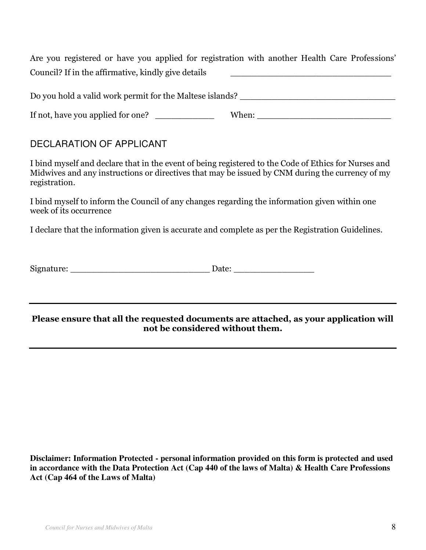Are you registered or have you applied for registration with another Health Care Professions' Council? If in the affirmative, kindly give details

Do you hold a valid work permit for the Maltese islands?

If not, have you applied for one? When:

# DECLARATION OF APPLICANT

I bind myself and declare that in the event of being registered to the Code of Ethics for Nurses and Midwives and any instructions or directives that may be issued by CNM during the currency of my registration.

I bind myself to inform the Council of any changes regarding the information given within one week of its occurrence

I declare that the information given is accurate and complete as per the Registration Guidelines.

|  | Signature: | Date: |
|--|------------|-------|
|--|------------|-------|

#### **Please ensure that all the requested documents are attached, as your application will not be considered without them.**

**Disclaimer: Information Protected - personal information provided on this form is protected and used in accordance with the Data Protection Act (Cap 440 of the laws of Malta) & Health Care Professions Act (Cap 464 of the Laws of Malta)**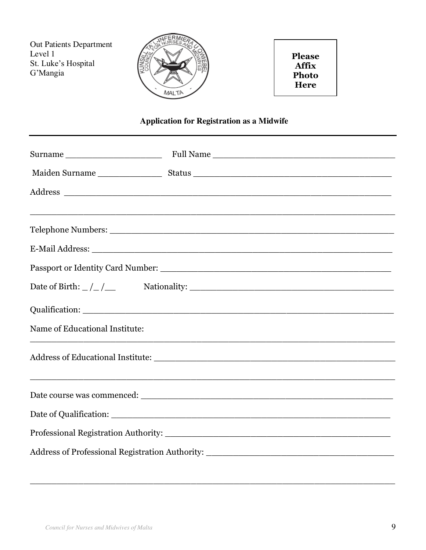Out Patients Department Level 1 St. Luke's Hospital G'Mangia



**Please Affix Photo Here**

# **Application for Registration as a Midwife**

| Date of Birth: $\frac{\ }{\ }$ $\frac{\ }{\ }$ |  |  |  |
|------------------------------------------------|--|--|--|
|                                                |  |  |  |
| Name of Educational Institute:                 |  |  |  |
|                                                |  |  |  |
|                                                |  |  |  |
|                                                |  |  |  |
|                                                |  |  |  |
|                                                |  |  |  |

\_\_\_\_\_\_\_\_\_\_\_\_\_\_\_\_\_\_\_\_\_\_\_\_\_\_\_\_\_\_\_\_\_\_\_\_\_\_\_\_\_\_\_\_\_\_\_\_\_\_\_\_\_\_\_\_\_\_\_\_\_\_\_\_\_\_\_\_